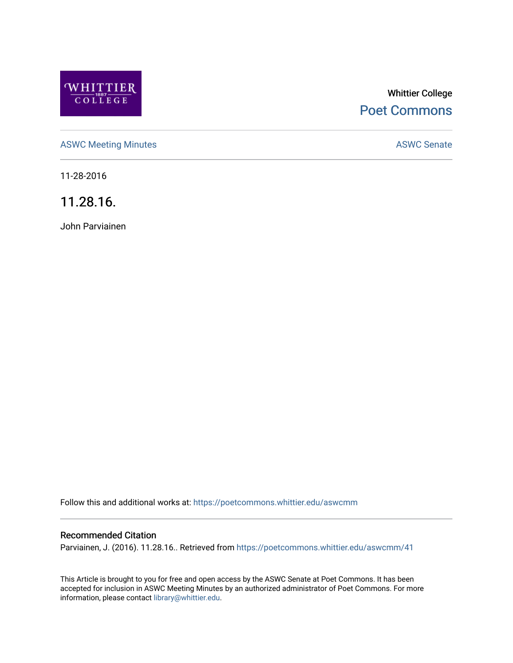

# Whittier College [Poet Commons](https://poetcommons.whittier.edu/)

[ASWC Meeting Minutes](https://poetcommons.whittier.edu/aswcmm) **ASWC Senate** 

11-28-2016

11.28.16.

John Parviainen

Follow this and additional works at: [https://poetcommons.whittier.edu/aswcmm](https://poetcommons.whittier.edu/aswcmm?utm_source=poetcommons.whittier.edu%2Faswcmm%2F41&utm_medium=PDF&utm_campaign=PDFCoverPages)

## Recommended Citation

Parviainen, J. (2016). 11.28.16.. Retrieved from [https://poetcommons.whittier.edu/aswcmm/41](https://poetcommons.whittier.edu/aswcmm/41?utm_source=poetcommons.whittier.edu%2Faswcmm%2F41&utm_medium=PDF&utm_campaign=PDFCoverPages)

This Article is brought to you for free and open access by the ASWC Senate at Poet Commons. It has been accepted for inclusion in ASWC Meeting Minutes by an authorized administrator of Poet Commons. For more information, please contact [library@whittier.edu.](mailto:library@whittier.edu)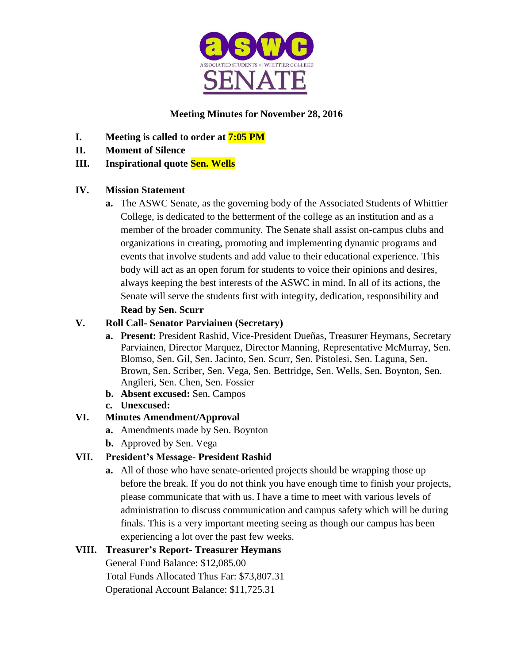

# **Meeting Minutes for November 28, 2016**

- **I. Meeting is called to order at 7:05 PM**
- **II. Moment of Silence**

## **III. Inspirational quote Sen. Wells**

## **IV. Mission Statement**

**a.** The ASWC Senate, as the governing body of the Associated Students of Whittier College, is dedicated to the betterment of the college as an institution and as a member of the broader community. The Senate shall assist on-campus clubs and organizations in creating, promoting and implementing dynamic programs and events that involve students and add value to their educational experience. This body will act as an open forum for students to voice their opinions and desires, always keeping the best interests of the ASWC in mind. In all of its actions, the Senate will serve the students first with integrity, dedication, responsibility and **Read by Sen. Scurr**

## **V. Roll Call- Senator Parviainen (Secretary)**

- **a. Present:** President Rashid, Vice-President Dueñas, Treasurer Heymans, Secretary Parviainen, Director Marquez, Director Manning, Representative McMurray, Sen. Blomso, Sen. Gil, Sen. Jacinto, Sen. Scurr, Sen. Pistolesi, Sen. Laguna, Sen. Brown, Sen. Scriber, Sen. Vega, Sen. Bettridge, Sen. Wells, Sen. Boynton, Sen. Angileri, Sen. Chen, Sen. Fossier
- **b. Absent excused:** Sen. Campos
- **c. Unexcused:**

# **VI. Minutes Amendment/Approval**

- **a.** Amendments made by Sen. Boynton
- **b.** Approved by Sen. Vega

# **VII. President's Message- President Rashid**

**a.** All of those who have senate-oriented projects should be wrapping those up before the break. If you do not think you have enough time to finish your projects, please communicate that with us. I have a time to meet with various levels of administration to discuss communication and campus safety which will be during finals. This is a very important meeting seeing as though our campus has been experiencing a lot over the past few weeks.

# **VIII. Treasurer's Report- Treasurer Heymans**

General Fund Balance: \$12,085.00

Total Funds Allocated Thus Far: \$73,807.31

Operational Account Balance: \$11,725.31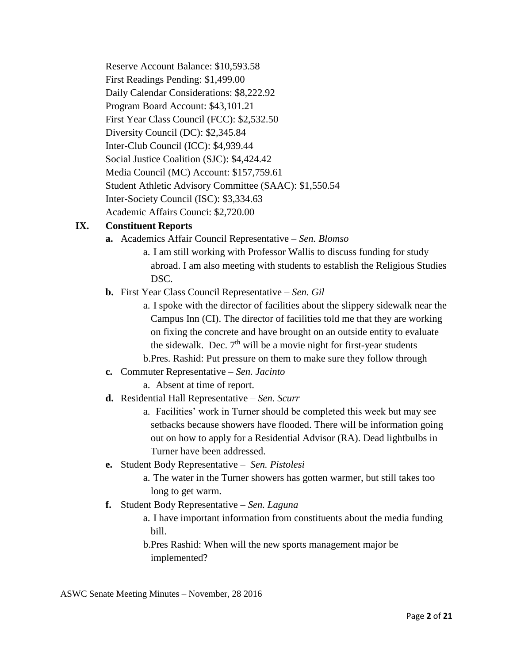Reserve Account Balance: \$10,593.58 First Readings Pending: \$1,499.00 Daily Calendar Considerations: \$8,222.92 Program Board Account: \$43,101.21 First Year Class Council (FCC): \$2,532.50 Diversity Council (DC): \$2,345.84 Inter-Club Council (ICC): \$4,939.44 Social Justice Coalition (SJC): \$4,424.42 Media Council (MC) Account: \$157,759.61 Student Athletic Advisory Committee (SAAC): \$1,550.54 Inter-Society Council (ISC): \$3,334.63 Academic Affairs Counci: \$2,720.00

## **IX. Constituent Reports**

- **a.** Academics Affair Council Representative *Sen. Blomso*
	- a. I am still working with Professor Wallis to discuss funding for study abroad. I am also meeting with students to establish the Religious Studies DSC.
- **b.** First Year Class Council Representative *Sen. Gil*
	- a. I spoke with the director of facilities about the slippery sidewalk near the Campus Inn (CI). The director of facilities told me that they are working on fixing the concrete and have brought on an outside entity to evaluate the sidewalk. Dec.  $7<sup>th</sup>$  will be a movie night for first-year students b.Pres. Rashid: Put pressure on them to make sure they follow through
- **c.** Commuter Representative *Sen. Jacinto*
	- a. Absent at time of report.
- **d.** Residential Hall Representative *Sen. Scurr*
	- a. Facilities' work in Turner should be completed this week but may see setbacks because showers have flooded. There will be information going out on how to apply for a Residential Advisor (RA). Dead lightbulbs in Turner have been addressed.
- **e.** Student Body Representative *Sen. Pistolesi*
	- a. The water in the Turner showers has gotten warmer, but still takes too long to get warm.
- **f.** Student Body Representative *Sen. Laguna*
	- a. I have important information from constituents about the media funding bill.

b.Pres Rashid: When will the new sports management major be implemented?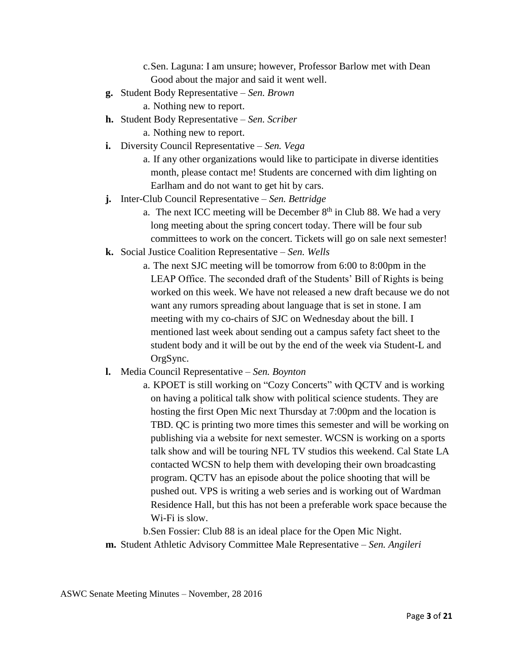c.Sen. Laguna: I am unsure; however, Professor Barlow met with Dean Good about the major and said it went well.

- **g.** Student Body Representative *Sen. Brown*
	- a. Nothing new to report.
- **h.** Student Body Representative *Sen. Scriber*
	- a. Nothing new to report.
- **i.** Diversity Council Representative *Sen. Vega*
	- a. If any other organizations would like to participate in diverse identities month, please contact me! Students are concerned with dim lighting on Earlham and do not want to get hit by cars.
- **j.** Inter-Club Council Representative *Sen. Bettridge*
	- a. The next ICC meeting will be December  $8<sup>th</sup>$  in Club 88. We had a very long meeting about the spring concert today. There will be four sub committees to work on the concert. Tickets will go on sale next semester!
- **k.** Social Justice Coalition Representative *Sen. Wells*
	- a. The next SJC meeting will be tomorrow from 6:00 to 8:00pm in the LEAP Office. The seconded draft of the Students' Bill of Rights is being worked on this week. We have not released a new draft because we do not want any rumors spreading about language that is set in stone. I am meeting with my co-chairs of SJC on Wednesday about the bill. I mentioned last week about sending out a campus safety fact sheet to the student body and it will be out by the end of the week via Student-L and OrgSync.
- **l.** Media Council Representative *Sen. Boynton*
	- a. KPOET is still working on "Cozy Concerts" with QCTV and is working on having a political talk show with political science students. They are hosting the first Open Mic next Thursday at 7:00pm and the location is TBD. QC is printing two more times this semester and will be working on publishing via a website for next semester. WCSN is working on a sports talk show and will be touring NFL TV studios this weekend. Cal State LA contacted WCSN to help them with developing their own broadcasting program. QCTV has an episode about the police shooting that will be pushed out. VPS is writing a web series and is working out of Wardman Residence Hall, but this has not been a preferable work space because the Wi-Fi is slow.

b.Sen Fossier: Club 88 is an ideal place for the Open Mic Night. **m.** Student Athletic Advisory Committee Male Representative – *Sen. Angileri*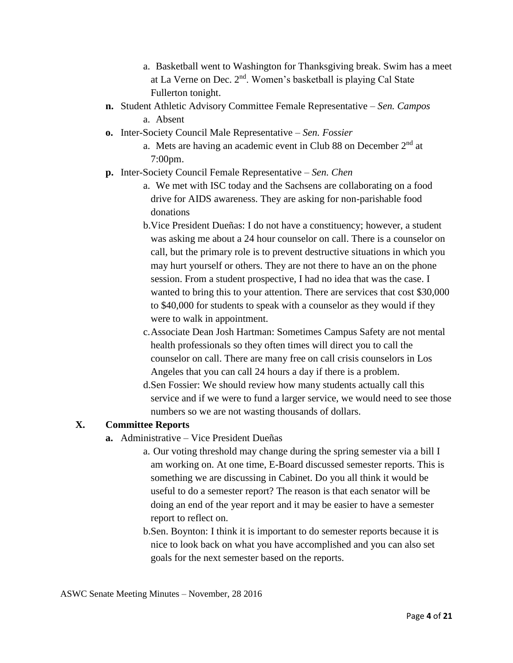- a. Basketball went to Washington for Thanksgiving break. Swim has a meet at La Verne on Dec. 2nd. Women's basketball is playing Cal State Fullerton tonight.
- **n.** Student Athletic Advisory Committee Female Representative *Sen. Campos* a. Absent
- **o.** Inter-Society Council Male Representative *Sen. Fossier*
	- a. Mets are having an academic event in Club 88 on December  $2<sup>nd</sup>$  at 7:00pm.
- **p.** Inter-Society Council Female Representative *Sen. Chen*
	- a. We met with ISC today and the Sachsens are collaborating on a food drive for AIDS awareness. They are asking for non-parishable food donations
	- b.Vice President Dueñas: I do not have a constituency; however, a student was asking me about a 24 hour counselor on call. There is a counselor on call, but the primary role is to prevent destructive situations in which you may hurt yourself or others. They are not there to have an on the phone session. From a student prospective, I had no idea that was the case. I wanted to bring this to your attention. There are services that cost \$30,000 to \$40,000 for students to speak with a counselor as they would if they were to walk in appointment.
	- c.Associate Dean Josh Hartman: Sometimes Campus Safety are not mental health professionals so they often times will direct you to call the counselor on call. There are many free on call crisis counselors in Los Angeles that you can call 24 hours a day if there is a problem.
	- d.Sen Fossier: We should review how many students actually call this service and if we were to fund a larger service, we would need to see those numbers so we are not wasting thousands of dollars.

## **X. Committee Reports**

- **a.** Administrative Vice President Dueñas
	- a. Our voting threshold may change during the spring semester via a bill I am working on. At one time, E-Board discussed semester reports. This is something we are discussing in Cabinet. Do you all think it would be useful to do a semester report? The reason is that each senator will be doing an end of the year report and it may be easier to have a semester report to reflect on.
	- b.Sen. Boynton: I think it is important to do semester reports because it is nice to look back on what you have accomplished and you can also set goals for the next semester based on the reports.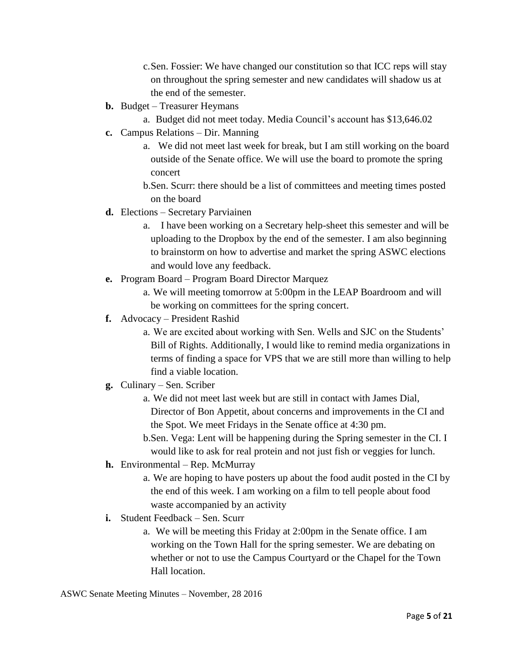c.Sen. Fossier: We have changed our constitution so that ICC reps will stay on throughout the spring semester and new candidates will shadow us at the end of the semester.

- **b.** Budget Treasurer Heymans
	- a. Budget did not meet today. Media Council's account has \$13,646.02
- **c.** Campus Relations Dir. Manning
	- a. We did not meet last week for break, but I am still working on the board outside of the Senate office. We will use the board to promote the spring concert

b.Sen. Scurr: there should be a list of committees and meeting times posted on the board

- **d.** Elections Secretary Parviainen
	- a. I have been working on a Secretary help-sheet this semester and will be uploading to the Dropbox by the end of the semester. I am also beginning to brainstorm on how to advertise and market the spring ASWC elections and would love any feedback.
- **e.** Program Board Program Board Director Marquez
	- a. We will meeting tomorrow at 5:00pm in the LEAP Boardroom and will be working on committees for the spring concert.
- **f.** Advocacy President Rashid
	- a. We are excited about working with Sen. Wells and SJC on the Students' Bill of Rights. Additionally, I would like to remind media organizations in terms of finding a space for VPS that we are still more than willing to help find a viable location.
- **g.** Culinary Sen. Scriber
	- a. We did not meet last week but are still in contact with James Dial, Director of Bon Appetit, about concerns and improvements in the CI and the Spot. We meet Fridays in the Senate office at 4:30 pm.
	- b.Sen. Vega: Lent will be happening during the Spring semester in the CI. I would like to ask for real protein and not just fish or veggies for lunch.
- **h.** Environmental Rep. McMurray
	- a. We are hoping to have posters up about the food audit posted in the CI by the end of this week. I am working on a film to tell people about food waste accompanied by an activity
- **i.** Student Feedback Sen. Scurr
	- a. We will be meeting this Friday at 2:00pm in the Senate office. I am working on the Town Hall for the spring semester. We are debating on whether or not to use the Campus Courtyard or the Chapel for the Town Hall location.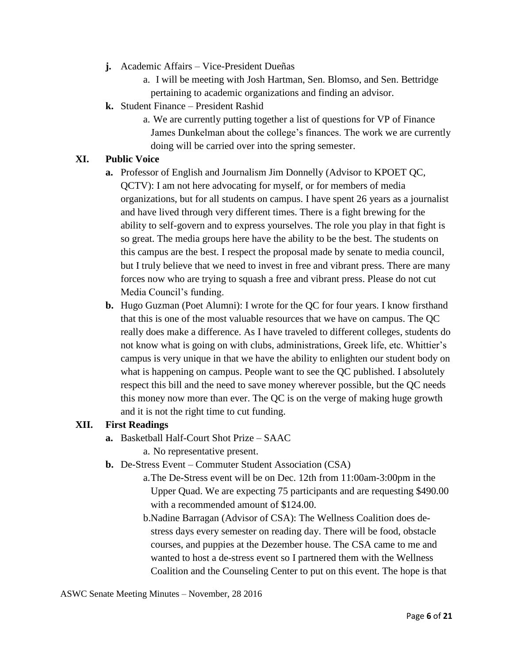- **j.** Academic Affairs Vice-President Dueñas
	- a. I will be meeting with Josh Hartman, Sen. Blomso, and Sen. Bettridge pertaining to academic organizations and finding an advisor.
- **k.** Student Finance President Rashid
	- a. We are currently putting together a list of questions for VP of Finance James Dunkelman about the college's finances. The work we are currently doing will be carried over into the spring semester.

#### **XI. Public Voice**

- **a.** Professor of English and Journalism Jim Donnelly (Advisor to KPOET QC, QCTV): I am not here advocating for myself, or for members of media organizations, but for all students on campus. I have spent 26 years as a journalist and have lived through very different times. There is a fight brewing for the ability to self-govern and to express yourselves. The role you play in that fight is so great. The media groups here have the ability to be the best. The students on this campus are the best. I respect the proposal made by senate to media council, but I truly believe that we need to invest in free and vibrant press. There are many forces now who are trying to squash a free and vibrant press. Please do not cut Media Council's funding.
- **b.** Hugo Guzman (Poet Alumni): I wrote for the QC for four years. I know firsthand that this is one of the most valuable resources that we have on campus. The QC really does make a difference. As I have traveled to different colleges, students do not know what is going on with clubs, administrations, Greek life, etc. Whittier's campus is very unique in that we have the ability to enlighten our student body on what is happening on campus. People want to see the QC published. I absolutely respect this bill and the need to save money wherever possible, but the QC needs this money now more than ever. The QC is on the verge of making huge growth and it is not the right time to cut funding.

#### **XII. First Readings**

- **a.** Basketball Half-Court Shot Prize SAAC
	- a. No representative present.
- **b.** De-Stress Event Commuter Student Association (CSA)
	- a.The De-Stress event will be on Dec. 12th from 11:00am-3:00pm in the Upper Quad. We are expecting 75 participants and are requesting \$490.00 with a recommended amount of \$124.00.
	- b.Nadine Barragan (Advisor of CSA): The Wellness Coalition does destress days every semester on reading day. There will be food, obstacle courses, and puppies at the Dezember house. The CSA came to me and wanted to host a de-stress event so I partnered them with the Wellness Coalition and the Counseling Center to put on this event. The hope is that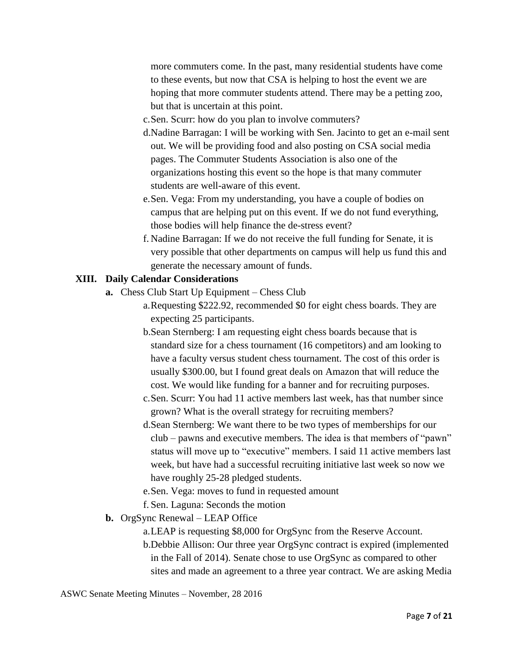more commuters come. In the past, many residential students have come to these events, but now that CSA is helping to host the event we are hoping that more commuter students attend. There may be a petting zoo, but that is uncertain at this point.

- c.Sen. Scurr: how do you plan to involve commuters?
- d.Nadine Barragan: I will be working with Sen. Jacinto to get an e-mail sent out. We will be providing food and also posting on CSA social media pages. The Commuter Students Association is also one of the organizations hosting this event so the hope is that many commuter students are well-aware of this event.
- e.Sen. Vega: From my understanding, you have a couple of bodies on campus that are helping put on this event. If we do not fund everything, those bodies will help finance the de-stress event?
- f. Nadine Barragan: If we do not receive the full funding for Senate, it is very possible that other departments on campus will help us fund this and generate the necessary amount of funds.

#### **XIII. Daily Calendar Considerations**

- **a.** Chess Club Start Up Equipment Chess Club
	- a.Requesting \$222.92, recommended \$0 for eight chess boards. They are expecting 25 participants.
	- b.Sean Sternberg: I am requesting eight chess boards because that is standard size for a chess tournament (16 competitors) and am looking to have a faculty versus student chess tournament. The cost of this order is usually \$300.00, but I found great deals on Amazon that will reduce the cost. We would like funding for a banner and for recruiting purposes.
	- c.Sen. Scurr: You had 11 active members last week, has that number since grown? What is the overall strategy for recruiting members?
	- d.Sean Sternberg: We want there to be two types of memberships for our club – pawns and executive members. The idea is that members of "pawn" status will move up to "executive" members. I said 11 active members last week, but have had a successful recruiting initiative last week so now we have roughly 25-28 pledged students.
	- e.Sen. Vega: moves to fund in requested amount
	- f. Sen. Laguna: Seconds the motion
- **b.** OrgSync Renewal LEAP Office
	- a.LEAP is requesting \$8,000 for OrgSync from the Reserve Account.
	- b.Debbie Allison: Our three year OrgSync contract is expired (implemented in the Fall of 2014). Senate chose to use OrgSync as compared to other sites and made an agreement to a three year contract. We are asking Media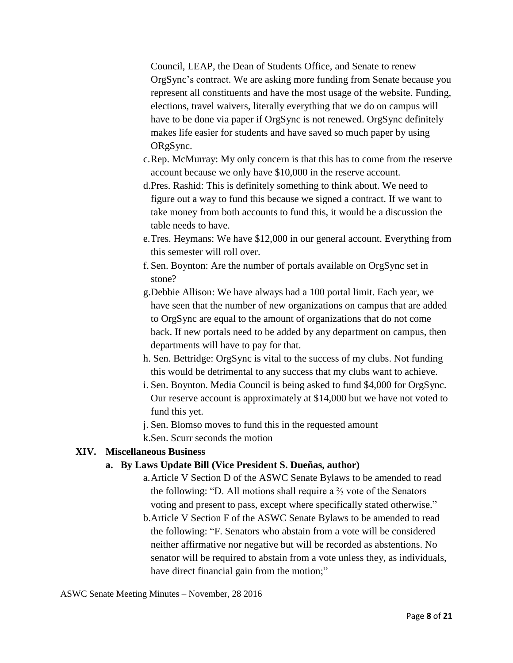Council, LEAP, the Dean of Students Office, and Senate to renew OrgSync's contract. We are asking more funding from Senate because you represent all constituents and have the most usage of the website. Funding, elections, travel waivers, literally everything that we do on campus will have to be done via paper if OrgSync is not renewed. OrgSync definitely makes life easier for students and have saved so much paper by using ORgSync.

- c.Rep. McMurray: My only concern is that this has to come from the reserve account because we only have \$10,000 in the reserve account.
- d.Pres. Rashid: This is definitely something to think about. We need to figure out a way to fund this because we signed a contract. If we want to take money from both accounts to fund this, it would be a discussion the table needs to have.
- e.Tres. Heymans: We have \$12,000 in our general account. Everything from this semester will roll over.
- f. Sen. Boynton: Are the number of portals available on OrgSync set in stone?
- g.Debbie Allison: We have always had a 100 portal limit. Each year, we have seen that the number of new organizations on campus that are added to OrgSync are equal to the amount of organizations that do not come back. If new portals need to be added by any department on campus, then departments will have to pay for that.
- h. Sen. Bettridge: OrgSync is vital to the success of my clubs. Not funding this would be detrimental to any success that my clubs want to achieve.
- i. Sen. Boynton. Media Council is being asked to fund \$4,000 for OrgSync. Our reserve account is approximately at \$14,000 but we have not voted to fund this yet.
- j. Sen. Blomso moves to fund this in the requested amount
- k.Sen. Scurr seconds the motion

## **XIV. Miscellaneous Business**

## **a. By Laws Update Bill (Vice President S. Dueñas, author)**

- a.Article V Section D of the ASWC Senate Bylaws to be amended to read the following: "D. All motions shall require a ⅔ vote of the Senators voting and present to pass, except where specifically stated otherwise."
- b.Article V Section F of the ASWC Senate Bylaws to be amended to read the following: "F. Senators who abstain from a vote will be considered neither affirmative nor negative but will be recorded as abstentions. No senator will be required to abstain from a vote unless they, as individuals, have direct financial gain from the motion;"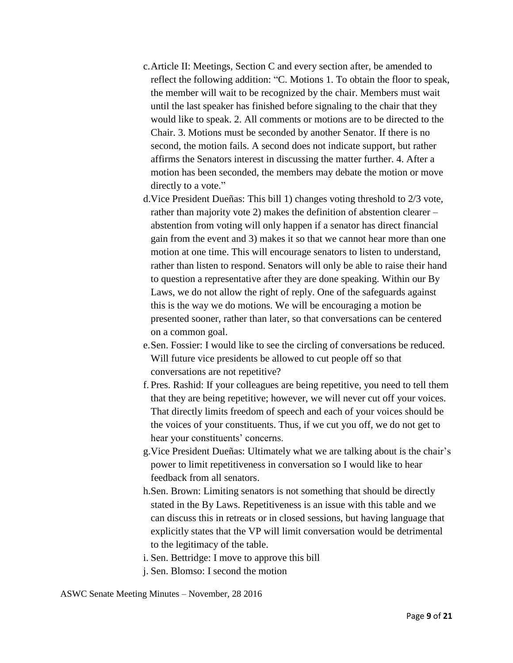- c.Article II: Meetings, Section C and every section after, be amended to reflect the following addition: "C. Motions 1. To obtain the floor to speak, the member will wait to be recognized by the chair. Members must wait until the last speaker has finished before signaling to the chair that they would like to speak. 2. All comments or motions are to be directed to the Chair. 3. Motions must be seconded by another Senator. If there is no second, the motion fails. A second does not indicate support, but rather affirms the Senators interest in discussing the matter further. 4. After a motion has been seconded, the members may debate the motion or move directly to a vote."
- d.Vice President Dueñas: This bill 1) changes voting threshold to 2/3 vote, rather than majority vote 2) makes the definition of abstention clearer – abstention from voting will only happen if a senator has direct financial gain from the event and 3) makes it so that we cannot hear more than one motion at one time. This will encourage senators to listen to understand, rather than listen to respond. Senators will only be able to raise their hand to question a representative after they are done speaking. Within our By Laws, we do not allow the right of reply. One of the safeguards against this is the way we do motions. We will be encouraging a motion be presented sooner, rather than later, so that conversations can be centered on a common goal.
- e.Sen. Fossier: I would like to see the circling of conversations be reduced. Will future vice presidents be allowed to cut people off so that conversations are not repetitive?
- f. Pres. Rashid: If your colleagues are being repetitive, you need to tell them that they are being repetitive; however, we will never cut off your voices. That directly limits freedom of speech and each of your voices should be the voices of your constituents. Thus, if we cut you off, we do not get to hear your constituents' concerns.
- g.Vice President Dueñas: Ultimately what we are talking about is the chair's power to limit repetitiveness in conversation so I would like to hear feedback from all senators.
- h.Sen. Brown: Limiting senators is not something that should be directly stated in the By Laws. Repetitiveness is an issue with this table and we can discuss this in retreats or in closed sessions, but having language that explicitly states that the VP will limit conversation would be detrimental to the legitimacy of the table.
- i. Sen. Bettridge: I move to approve this bill
- j. Sen. Blomso: I second the motion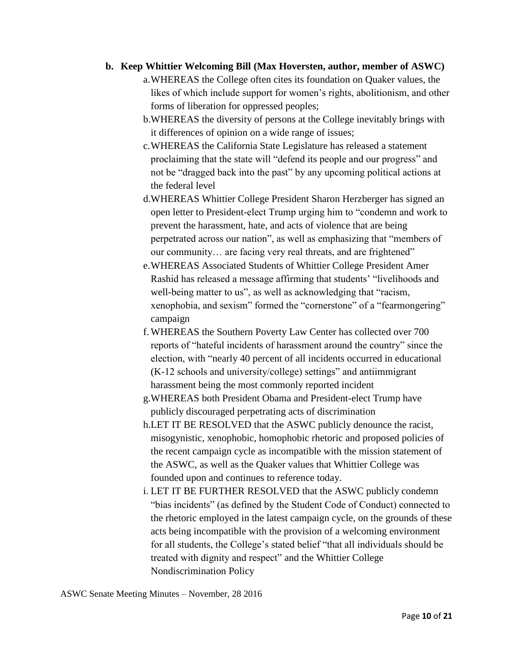### **b. Keep Whittier Welcoming Bill (Max Hoversten, author, member of ASWC)**

- a.WHEREAS the College often cites its foundation on Quaker values, the likes of which include support for women's rights, abolitionism, and other forms of liberation for oppressed peoples;
- b.WHEREAS the diversity of persons at the College inevitably brings with it differences of opinion on a wide range of issues;
- c.WHEREAS the California State Legislature has released a statement proclaiming that the state will "defend its people and our progress" and not be "dragged back into the past" by any upcoming political actions at the federal level
- d.WHEREAS Whittier College President Sharon Herzberger has signed an open letter to President-elect Trump urging him to "condemn and work to prevent the harassment, hate, and acts of violence that are being perpetrated across our nation", as well as emphasizing that "members of our community… are facing very real threats, and are frightened"
- e.WHEREAS Associated Students of Whittier College President Amer Rashid has released a message affirming that students' "livelihoods and well-being matter to us", as well as acknowledging that "racism, xenophobia, and sexism" formed the "cornerstone" of a "fearmongering" campaign
- f. WHEREAS the Southern Poverty Law Center has collected over 700 reports of "hateful incidents of harassment around the country" since the election, with "nearly 40 percent of all incidents occurred in educational (K-12 schools and university/college) settings" and antiimmigrant harassment being the most commonly reported incident
- g.WHEREAS both President Obama and President-elect Trump have publicly discouraged perpetrating acts of discrimination
- h.LET IT BE RESOLVED that the ASWC publicly denounce the racist, misogynistic, xenophobic, homophobic rhetoric and proposed policies of the recent campaign cycle as incompatible with the mission statement of the ASWC, as well as the Quaker values that Whittier College was founded upon and continues to reference today.
- i. LET IT BE FURTHER RESOLVED that the ASWC publicly condemn "bias incidents" (as defined by the Student Code of Conduct) connected to the rhetoric employed in the latest campaign cycle, on the grounds of these acts being incompatible with the provision of a welcoming environment for all students, the College's stated belief "that all individuals should be treated with dignity and respect" and the Whittier College Nondiscrimination Policy

ASWC Senate Meeting Minutes – November, 28 2016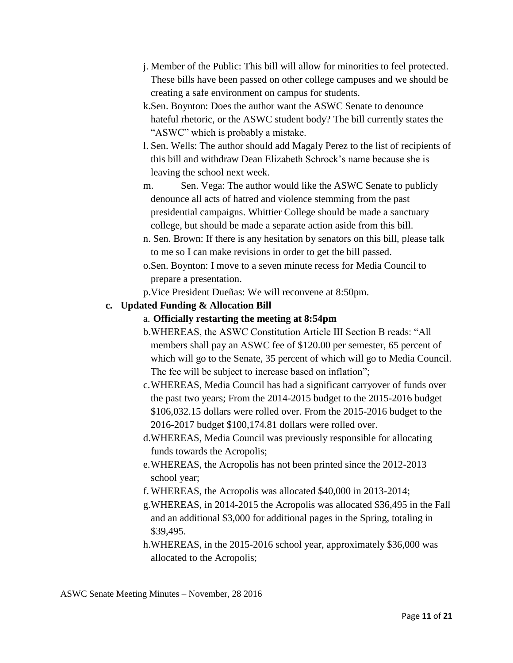- j. Member of the Public: This bill will allow for minorities to feel protected. These bills have been passed on other college campuses and we should be creating a safe environment on campus for students.
- k.Sen. Boynton: Does the author want the ASWC Senate to denounce hateful rhetoric, or the ASWC student body? The bill currently states the "ASWC" which is probably a mistake.
- l. Sen. Wells: The author should add Magaly Perez to the list of recipients of this bill and withdraw Dean Elizabeth Schrock's name because she is leaving the school next week.
- m. Sen. Vega: The author would like the ASWC Senate to publicly denounce all acts of hatred and violence stemming from the past presidential campaigns. Whittier College should be made a sanctuary college, but should be made a separate action aside from this bill.
- n. Sen. Brown: If there is any hesitation by senators on this bill, please talk to me so I can make revisions in order to get the bill passed.
- o.Sen. Boynton: I move to a seven minute recess for Media Council to prepare a presentation.
- p.Vice President Dueñas: We will reconvene at 8:50pm.

# **c. Updated Funding & Allocation Bill**

# a. **Officially restarting the meeting at 8:54pm**

- b.WHEREAS, the ASWC Constitution Article III Section B reads: "All members shall pay an ASWC fee of \$120.00 per semester, 65 percent of which will go to the Senate, 35 percent of which will go to Media Council. The fee will be subject to increase based on inflation";
- c.WHEREAS, Media Council has had a significant carryover of funds over the past two years; From the 2014-2015 budget to the 2015-2016 budget \$106,032.15 dollars were rolled over. From the 2015-2016 budget to the 2016-2017 budget \$100,174.81 dollars were rolled over.
- d.WHEREAS, Media Council was previously responsible for allocating funds towards the Acropolis;
- e.WHEREAS, the Acropolis has not been printed since the 2012-2013 school year;
- f. WHEREAS, the Acropolis was allocated \$40,000 in 2013-2014;
- g.WHEREAS, in 2014-2015 the Acropolis was allocated \$36,495 in the Fall and an additional \$3,000 for additional pages in the Spring, totaling in \$39,495.
- h.WHEREAS, in the 2015-2016 school year, approximately \$36,000 was allocated to the Acropolis;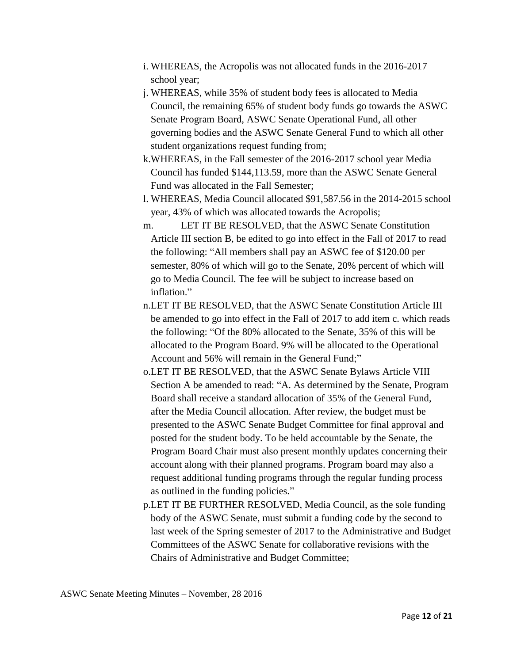- i. WHEREAS, the Acropolis was not allocated funds in the 2016-2017 school year;
- j. WHEREAS, while 35% of student body fees is allocated to Media Council, the remaining 65% of student body funds go towards the ASWC Senate Program Board, ASWC Senate Operational Fund, all other governing bodies and the ASWC Senate General Fund to which all other student organizations request funding from;
- k.WHEREAS, in the Fall semester of the 2016-2017 school year Media Council has funded \$144,113.59, more than the ASWC Senate General Fund was allocated in the Fall Semester;
- l. WHEREAS, Media Council allocated \$91,587.56 in the 2014-2015 school year, 43% of which was allocated towards the Acropolis;
- m. LET IT BE RESOLVED, that the ASWC Senate Constitution Article III section B, be edited to go into effect in the Fall of 2017 to read the following: "All members shall pay an ASWC fee of \$120.00 per semester, 80% of which will go to the Senate, 20% percent of which will go to Media Council. The fee will be subject to increase based on inflation."
- n.LET IT BE RESOLVED, that the ASWC Senate Constitution Article III be amended to go into effect in the Fall of 2017 to add item c. which reads the following: "Of the 80% allocated to the Senate, 35% of this will be allocated to the Program Board. 9% will be allocated to the Operational Account and 56% will remain in the General Fund;"
- o.LET IT BE RESOLVED, that the ASWC Senate Bylaws Article VIII Section A be amended to read: "A. As determined by the Senate, Program Board shall receive a standard allocation of 35% of the General Fund, after the Media Council allocation. After review, the budget must be presented to the ASWC Senate Budget Committee for final approval and posted for the student body. To be held accountable by the Senate, the Program Board Chair must also present monthly updates concerning their account along with their planned programs. Program board may also a request additional funding programs through the regular funding process as outlined in the funding policies."
- p.LET IT BE FURTHER RESOLVED, Media Council, as the sole funding body of the ASWC Senate, must submit a funding code by the second to last week of the Spring semester of 2017 to the Administrative and Budget Committees of the ASWC Senate for collaborative revisions with the Chairs of Administrative and Budget Committee;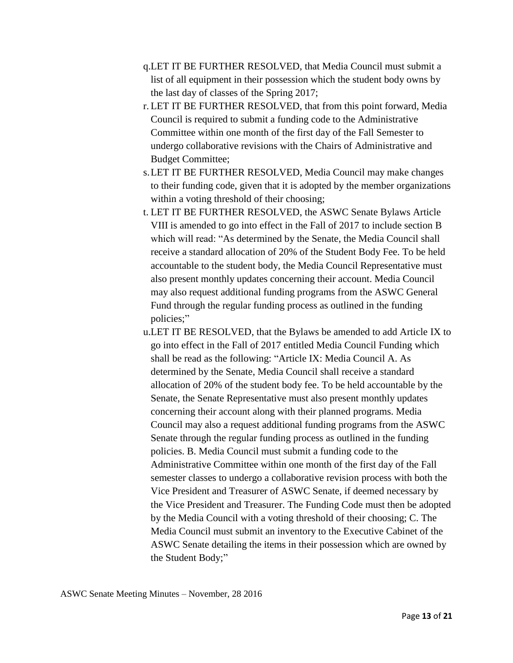- q.LET IT BE FURTHER RESOLVED, that Media Council must submit a list of all equipment in their possession which the student body owns by the last day of classes of the Spring 2017;
- r. LET IT BE FURTHER RESOLVED, that from this point forward, Media Council is required to submit a funding code to the Administrative Committee within one month of the first day of the Fall Semester to undergo collaborative revisions with the Chairs of Administrative and Budget Committee;
- s.LET IT BE FURTHER RESOLVED, Media Council may make changes to their funding code, given that it is adopted by the member organizations within a voting threshold of their choosing;
- t. LET IT BE FURTHER RESOLVED, the ASWC Senate Bylaws Article VIII is amended to go into effect in the Fall of 2017 to include section B which will read: "As determined by the Senate, the Media Council shall receive a standard allocation of 20% of the Student Body Fee. To be held accountable to the student body, the Media Council Representative must also present monthly updates concerning their account. Media Council may also request additional funding programs from the ASWC General Fund through the regular funding process as outlined in the funding policies;"
- u.LET IT BE RESOLVED, that the Bylaws be amended to add Article IX to go into effect in the Fall of 2017 entitled Media Council Funding which shall be read as the following: "Article IX: Media Council A. As determined by the Senate, Media Council shall receive a standard allocation of 20% of the student body fee. To be held accountable by the Senate, the Senate Representative must also present monthly updates concerning their account along with their planned programs. Media Council may also a request additional funding programs from the ASWC Senate through the regular funding process as outlined in the funding policies. B. Media Council must submit a funding code to the Administrative Committee within one month of the first day of the Fall semester classes to undergo a collaborative revision process with both the Vice President and Treasurer of ASWC Senate, if deemed necessary by the Vice President and Treasurer. The Funding Code must then be adopted by the Media Council with a voting threshold of their choosing; C. The Media Council must submit an inventory to the Executive Cabinet of the ASWC Senate detailing the items in their possession which are owned by the Student Body;"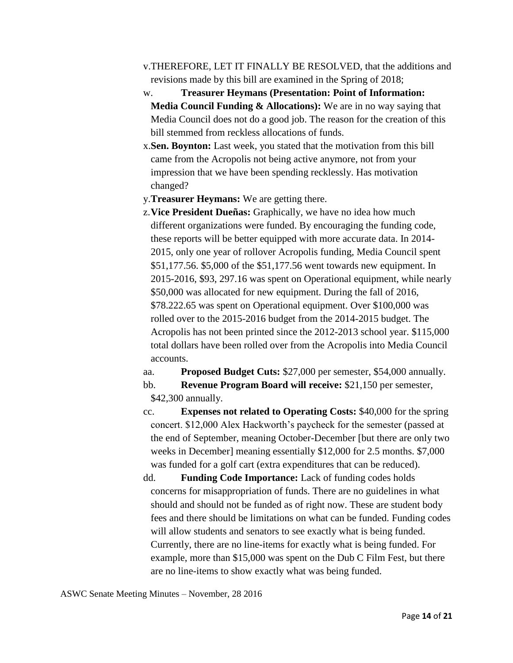- v.THEREFORE, LET IT FINALLY BE RESOLVED, that the additions and revisions made by this bill are examined in the Spring of 2018;
- w. **Treasurer Heymans (Presentation: Point of Information: Media Council Funding & Allocations):** We are in no way saying that Media Council does not do a good job. The reason for the creation of this bill stemmed from reckless allocations of funds.
- x.**Sen. Boynton:** Last week, you stated that the motivation from this bill came from the Acropolis not being active anymore, not from your impression that we have been spending recklessly. Has motivation changed?
- y.**Treasurer Heymans:** We are getting there.
- z.**Vice President Dueñas:** Graphically, we have no idea how much different organizations were funded. By encouraging the funding code, these reports will be better equipped with more accurate data. In 2014- 2015, only one year of rollover Acropolis funding, Media Council spent \$51,177.56. \$5,000 of the \$51,177.56 went towards new equipment. In 2015-2016, \$93, 297.16 was spent on Operational equipment, while nearly \$50,000 was allocated for new equipment. During the fall of 2016, \$78.222.65 was spent on Operational equipment. Over \$100,000 was rolled over to the 2015-2016 budget from the 2014-2015 budget. The Acropolis has not been printed since the 2012-2013 school year. \$115,000 total dollars have been rolled over from the Acropolis into Media Council accounts.

aa. **Proposed Budget Cuts:** \$27,000 per semester, \$54,000 annually.

bb. **Revenue Program Board will receive:** \$21,150 per semester, \$42,300 annually.

- cc. **Expenses not related to Operating Costs:** \$40,000 for the spring concert. \$12,000 Alex Hackworth's paycheck for the semester (passed at the end of September, meaning October-December [but there are only two weeks in December] meaning essentially \$12,000 for 2.5 months. \$7,000 was funded for a golf cart (extra expenditures that can be reduced).
- dd. **Funding Code Importance:** Lack of funding codes holds concerns for misappropriation of funds. There are no guidelines in what should and should not be funded as of right now. These are student body fees and there should be limitations on what can be funded. Funding codes will allow students and senators to see exactly what is being funded. Currently, there are no line-items for exactly what is being funded. For example, more than \$15,000 was spent on the Dub C Film Fest, but there are no line-items to show exactly what was being funded.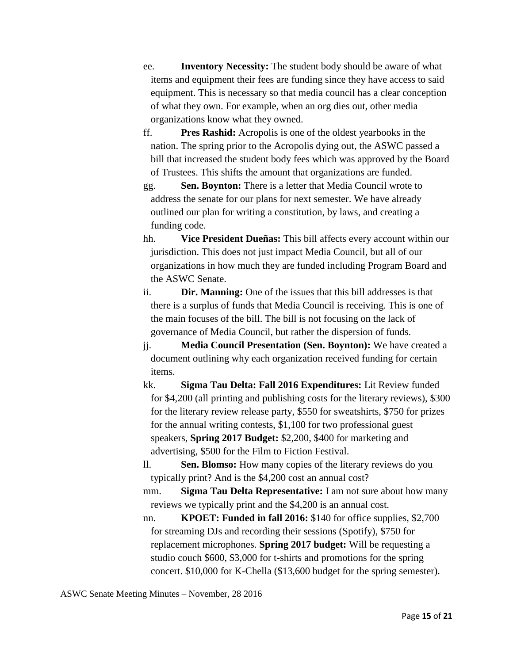- ee. **Inventory Necessity:** The student body should be aware of what items and equipment their fees are funding since they have access to said equipment. This is necessary so that media council has a clear conception of what they own. For example, when an org dies out, other media organizations know what they owned.
- ff. **Pres Rashid:** Acropolis is one of the oldest yearbooks in the nation. The spring prior to the Acropolis dying out, the ASWC passed a bill that increased the student body fees which was approved by the Board of Trustees. This shifts the amount that organizations are funded.
- gg. **Sen. Boynton:** There is a letter that Media Council wrote to address the senate for our plans for next semester. We have already outlined our plan for writing a constitution, by laws, and creating a funding code.
- hh. **Vice President Dueñas:** This bill affects every account within our jurisdiction. This does not just impact Media Council, but all of our organizations in how much they are funded including Program Board and the ASWC Senate.
- ii. **Dir. Manning:** One of the issues that this bill addresses is that there is a surplus of funds that Media Council is receiving. This is one of the main focuses of the bill. The bill is not focusing on the lack of governance of Media Council, but rather the dispersion of funds.
- jj. **Media Council Presentation (Sen. Boynton):** We have created a document outlining why each organization received funding for certain items.
- kk. **Sigma Tau Delta: Fall 2016 Expenditures:** Lit Review funded for \$4,200 (all printing and publishing costs for the literary reviews), \$300 for the literary review release party, \$550 for sweatshirts, \$750 for prizes for the annual writing contests, \$1,100 for two professional guest speakers, **Spring 2017 Budget:** \$2,200, \$400 for marketing and advertising, \$500 for the Film to Fiction Festival.
- ll. **Sen. Blomso:** How many copies of the literary reviews do you typically print? And is the \$4,200 cost an annual cost?
- mm. **Sigma Tau Delta Representative:** I am not sure about how many reviews we typically print and the \$4,200 is an annual cost.
- nn. **KPOET: Funded in fall 2016:** \$140 for office supplies, \$2,700 for streaming DJs and recording their sessions (Spotify), \$750 for replacement microphones. **Spring 2017 budget:** Will be requesting a studio couch \$600, \$3,000 for t-shirts and promotions for the spring concert. \$10,000 for K-Chella (\$13,600 budget for the spring semester).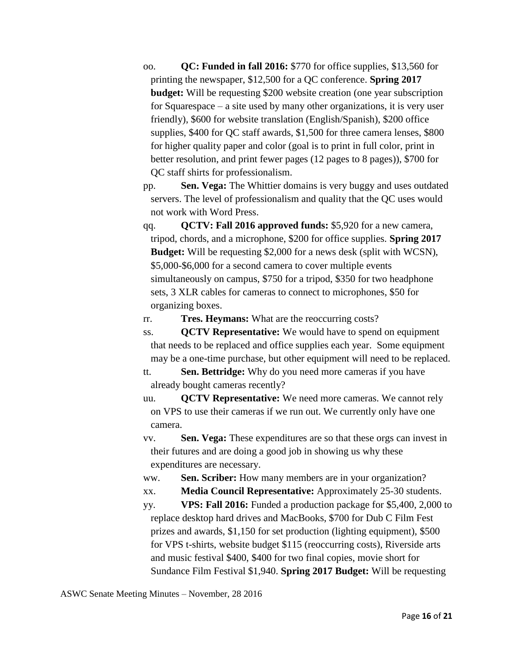- oo. **QC: Funded in fall 2016:** \$770 for office supplies, \$13,560 for printing the newspaper, \$12,500 for a QC conference. **Spring 2017 budget:** Will be requesting \$200 website creation (one year subscription for Squarespace – a site used by many other organizations, it is very user friendly), \$600 for website translation (English/Spanish), \$200 office supplies, \$400 for QC staff awards, \$1,500 for three camera lenses, \$800 for higher quality paper and color (goal is to print in full color, print in better resolution, and print fewer pages (12 pages to 8 pages)), \$700 for QC staff shirts for professionalism.
- pp. **Sen. Vega:** The Whittier domains is very buggy and uses outdated servers. The level of professionalism and quality that the QC uses would not work with Word Press.
- qq. **QCTV: Fall 2016 approved funds:** \$5,920 for a new camera, tripod, chords, and a microphone, \$200 for office supplies. **Spring 2017 Budget:** Will be requesting \$2,000 for a news desk (split with WCSN), \$5,000-\$6,000 for a second camera to cover multiple events simultaneously on campus, \$750 for a tripod, \$350 for two headphone sets, 3 XLR cables for cameras to connect to microphones, \$50 for organizing boxes.

rr. **Tres. Heymans:** What are the reoccurring costs?

ss. **QCTV Representative:** We would have to spend on equipment that needs to be replaced and office supplies each year. Some equipment may be a one-time purchase, but other equipment will need to be replaced.

tt. **Sen. Bettridge:** Why do you need more cameras if you have already bought cameras recently?

uu. **QCTV Representative:** We need more cameras. We cannot rely on VPS to use their cameras if we run out. We currently only have one camera.

vv. **Sen. Vega:** These expenditures are so that these orgs can invest in their futures and are doing a good job in showing us why these expenditures are necessary.

ww. **Sen. Scriber:** How many members are in your organization?

xx. **Media Council Representative:** Approximately 25-30 students.

yy. **VPS: Fall 2016:** Funded a production package for \$5,400, 2,000 to replace desktop hard drives and MacBooks, \$700 for Dub C Film Fest prizes and awards, \$1,150 for set production (lighting equipment), \$500 for VPS t-shirts, website budget \$115 (reoccurring costs), Riverside arts and music festival \$400, \$400 for two final copies, movie short for Sundance Film Festival \$1,940. **Spring 2017 Budget:** Will be requesting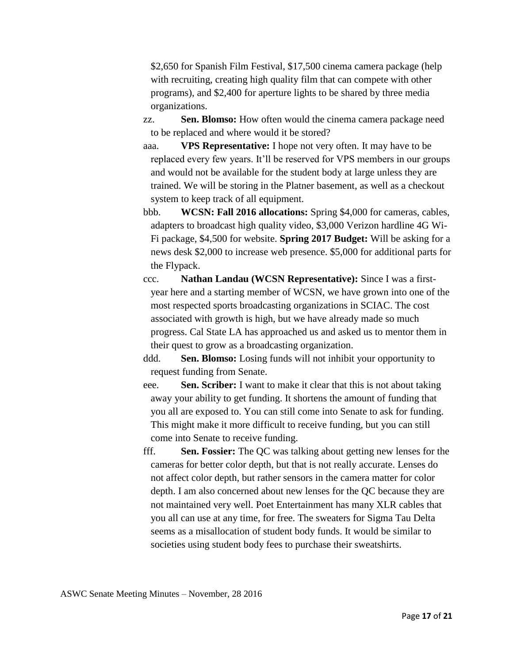\$2,650 for Spanish Film Festival, \$17,500 cinema camera package (help with recruiting, creating high quality film that can compete with other programs), and \$2,400 for aperture lights to be shared by three media organizations.

zz. **Sen. Blomso:** How often would the cinema camera package need to be replaced and where would it be stored?

aaa. **VPS Representative:** I hope not very often. It may have to be replaced every few years. It'll be reserved for VPS members in our groups and would not be available for the student body at large unless they are trained. We will be storing in the Platner basement, as well as a checkout system to keep track of all equipment.

bbb. **WCSN: Fall 2016 allocations:** Spring \$4,000 for cameras, cables, adapters to broadcast high quality video, \$3,000 Verizon hardline 4G Wi-Fi package, \$4,500 for website. **Spring 2017 Budget:** Will be asking for a news desk \$2,000 to increase web presence. \$5,000 for additional parts for the Flypack.

ccc. **Nathan Landau (WCSN Representative):** Since I was a firstyear here and a starting member of WCSN, we have grown into one of the most respected sports broadcasting organizations in SCIAC. The cost associated with growth is high, but we have already made so much progress. Cal State LA has approached us and asked us to mentor them in their quest to grow as a broadcasting organization.

ddd. **Sen. Blomso:** Losing funds will not inhibit your opportunity to request funding from Senate.

eee. **Sen. Scriber:** I want to make it clear that this is not about taking away your ability to get funding. It shortens the amount of funding that you all are exposed to. You can still come into Senate to ask for funding. This might make it more difficult to receive funding, but you can still come into Senate to receive funding.

fff. **Sen. Fossier:** The QC was talking about getting new lenses for the cameras for better color depth, but that is not really accurate. Lenses do not affect color depth, but rather sensors in the camera matter for color depth. I am also concerned about new lenses for the QC because they are not maintained very well. Poet Entertainment has many XLR cables that you all can use at any time, for free. The sweaters for Sigma Tau Delta seems as a misallocation of student body funds. It would be similar to societies using student body fees to purchase their sweatshirts.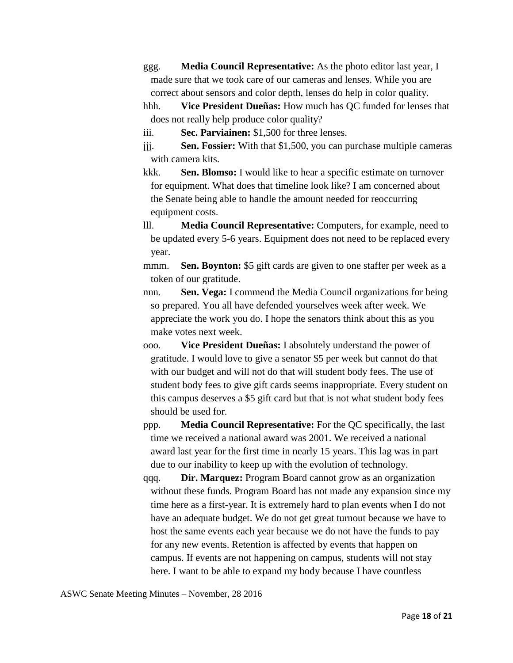ggg. **Media Council Representative:** As the photo editor last year, I made sure that we took care of our cameras and lenses. While you are correct about sensors and color depth, lenses do help in color quality.

hhh. **Vice President Dueñas:** How much has QC funded for lenses that does not really help produce color quality?

iii. **Sec. Parviainen:** \$1,500 for three lenses.

jjj. **Sen. Fossier:** With that \$1,500, you can purchase multiple cameras with camera kits.

kkk. **Sen. Blomso:** I would like to hear a specific estimate on turnover for equipment. What does that timeline look like? I am concerned about the Senate being able to handle the amount needed for reoccurring equipment costs.

lll. **Media Council Representative:** Computers, for example, need to be updated every 5-6 years. Equipment does not need to be replaced every year.

mmm. **Sen. Boynton:** \$5 gift cards are given to one staffer per week as a token of our gratitude.

nnn. **Sen. Vega:** I commend the Media Council organizations for being so prepared. You all have defended yourselves week after week. We appreciate the work you do. I hope the senators think about this as you make votes next week.

ooo. **Vice President Dueñas:** I absolutely understand the power of gratitude. I would love to give a senator \$5 per week but cannot do that with our budget and will not do that will student body fees. The use of student body fees to give gift cards seems inappropriate. Every student on this campus deserves a \$5 gift card but that is not what student body fees should be used for.

ppp. **Media Council Representative:** For the QC specifically, the last time we received a national award was 2001. We received a national award last year for the first time in nearly 15 years. This lag was in part due to our inability to keep up with the evolution of technology.

qqq. **Dir. Marquez:** Program Board cannot grow as an organization without these funds. Program Board has not made any expansion since my time here as a first-year. It is extremely hard to plan events when I do not have an adequate budget. We do not get great turnout because we have to host the same events each year because we do not have the funds to pay for any new events. Retention is affected by events that happen on campus. If events are not happening on campus, students will not stay here. I want to be able to expand my body because I have countless

ASWC Senate Meeting Minutes – November, 28 2016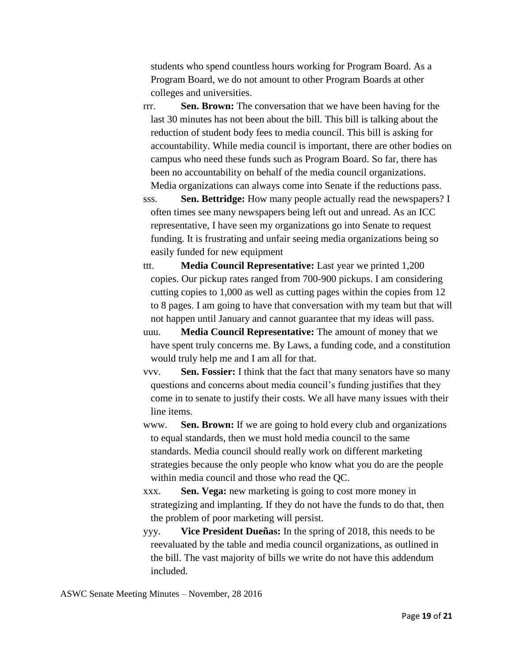students who spend countless hours working for Program Board. As a Program Board, we do not amount to other Program Boards at other colleges and universities.

rrr. **Sen. Brown:** The conversation that we have been having for the last 30 minutes has not been about the bill. This bill is talking about the reduction of student body fees to media council. This bill is asking for accountability. While media council is important, there are other bodies on campus who need these funds such as Program Board. So far, there has been no accountability on behalf of the media council organizations. Media organizations can always come into Senate if the reductions pass.

sss. **Sen. Bettridge:** How many people actually read the newspapers? I often times see many newspapers being left out and unread. As an ICC representative, I have seen my organizations go into Senate to request funding. It is frustrating and unfair seeing media organizations being so easily funded for new equipment

- ttt. **Media Council Representative:** Last year we printed 1,200 copies. Our pickup rates ranged from 700-900 pickups. I am considering cutting copies to 1,000 as well as cutting pages within the copies from 12 to 8 pages. I am going to have that conversation with my team but that will not happen until January and cannot guarantee that my ideas will pass.
- uuu. **Media Council Representative:** The amount of money that we have spent truly concerns me. By Laws, a funding code, and a constitution would truly help me and I am all for that.
- vvv. **Sen. Fossier:** I think that the fact that many senators have so many questions and concerns about media council's funding justifies that they come in to senate to justify their costs. We all have many issues with their line items.
- www. **Sen. Brown:** If we are going to hold every club and organizations to equal standards, then we must hold media council to the same standards. Media council should really work on different marketing strategies because the only people who know what you do are the people within media council and those who read the QC.
- xxx. **Sen. Vega:** new marketing is going to cost more money in strategizing and implanting. If they do not have the funds to do that, then the problem of poor marketing will persist.
- yyy. **Vice President Dueñas:** In the spring of 2018, this needs to be reevaluated by the table and media council organizations, as outlined in the bill. The vast majority of bills we write do not have this addendum included.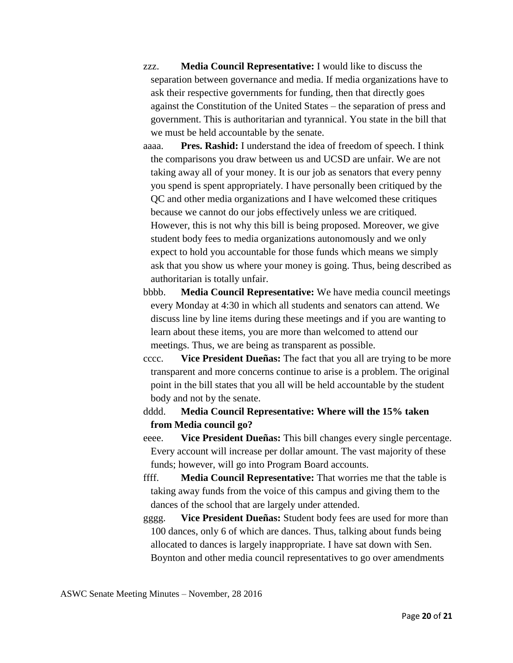- zzz. **Media Council Representative:** I would like to discuss the separation between governance and media. If media organizations have to ask their respective governments for funding, then that directly goes against the Constitution of the United States – the separation of press and government. This is authoritarian and tyrannical. You state in the bill that we must be held accountable by the senate.
- aaaa. **Pres. Rashid:** I understand the idea of freedom of speech. I think the comparisons you draw between us and UCSD are unfair. We are not taking away all of your money. It is our job as senators that every penny you spend is spent appropriately. I have personally been critiqued by the QC and other media organizations and I have welcomed these critiques because we cannot do our jobs effectively unless we are critiqued. However, this is not why this bill is being proposed. Moreover, we give student body fees to media organizations autonomously and we only expect to hold you accountable for those funds which means we simply ask that you show us where your money is going. Thus, being described as authoritarian is totally unfair.
- bbbb. **Media Council Representative:** We have media council meetings every Monday at 4:30 in which all students and senators can attend. We discuss line by line items during these meetings and if you are wanting to learn about these items, you are more than welcomed to attend our meetings. Thus, we are being as transparent as possible.
- cccc. **Vice President Dueñas:** The fact that you all are trying to be more transparent and more concerns continue to arise is a problem. The original point in the bill states that you all will be held accountable by the student body and not by the senate.

dddd. **Media Council Representative: Where will the 15% taken from Media council go?**

- eeee. **Vice President Dueñas:** This bill changes every single percentage. Every account will increase per dollar amount. The vast majority of these funds; however, will go into Program Board accounts.
- ffff. **Media Council Representative:** That worries me that the table is taking away funds from the voice of this campus and giving them to the dances of the school that are largely under attended.
- gggg. **Vice President Dueñas:** Student body fees are used for more than 100 dances, only 6 of which are dances. Thus, talking about funds being allocated to dances is largely inappropriate. I have sat down with Sen. Boynton and other media council representatives to go over amendments